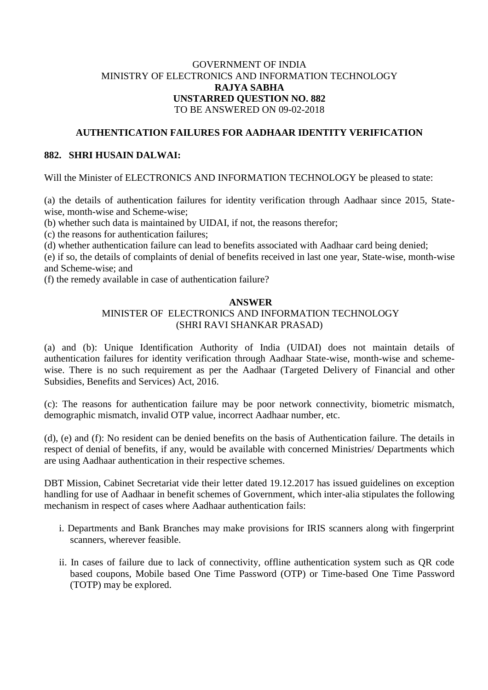## GOVERNMENT OF INDIA MINISTRY OF ELECTRONICS AND INFORMATION TECHNOLOGY **RAJYA SABHA UNSTARRED QUESTION NO. 882** TO BE ANSWERED ON 09-02-2018

## **AUTHENTICATION FAILURES FOR AADHAAR IDENTITY VERIFICATION**

### **882. SHRI HUSAIN DALWAI:**

Will the Minister of ELECTRONICS AND INFORMATION TECHNOLOGY be pleased to state:

(a) the details of authentication failures for identity verification through Aadhaar since 2015, Statewise, month-wise and Scheme-wise;

(b) whether such data is maintained by UIDAI, if not, the reasons therefor;

(c) the reasons for authentication failures;

(d) whether authentication failure can lead to benefits associated with Aadhaar card being denied;

(e) if so, the details of complaints of denial of benefits received in last one year, State-wise, month-wise and Scheme-wise; and

(f) the remedy available in case of authentication failure?

#### **ANSWER**

# MINISTER OF ELECTRONICS AND INFORMATION TECHNOLOGY (SHRI RAVI SHANKAR PRASAD)

(a) and (b): Unique Identification Authority of India (UIDAI) does not maintain details of authentication failures for identity verification through Aadhaar State-wise, month-wise and schemewise. There is no such requirement as per the Aadhaar (Targeted Delivery of Financial and other Subsidies, Benefits and Services) Act, 2016.

(c): The reasons for authentication failure may be poor network connectivity, biometric mismatch, demographic mismatch, invalid OTP value, incorrect Aadhaar number, etc.

(d), (e) and (f): No resident can be denied benefits on the basis of Authentication failure. The details in respect of denial of benefits, if any, would be available with concerned Ministries/ Departments which are using Aadhaar authentication in their respective schemes.

DBT Mission, Cabinet Secretariat vide their letter dated 19.12.2017 has issued guidelines on exception handling for use of Aadhaar in benefit schemes of Government, which inter-alia stipulates the following mechanism in respect of cases where Aadhaar authentication fails:

- i. Departments and Bank Branches may make provisions for IRIS scanners along with fingerprint scanners, wherever feasible.
- ii. In cases of failure due to lack of connectivity, offline authentication system such as QR code based coupons, Mobile based One Time Password (OTP) or Time-based One Time Password (TOTP) may be explored.